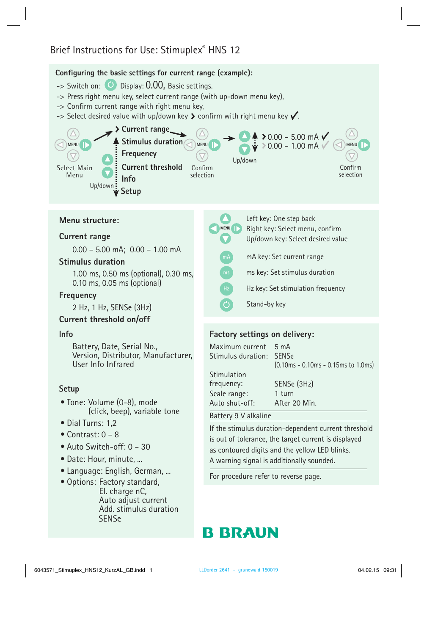# Brief Instructions for Use: Stimuplex® HNS 12

## **Configuring the basic settings for current range (example):**

- $\rightarrow$  Switch on:  $\bullet$  Display: 0.00, Basic settings.
- -> Press right menu key, select current range (with up-down menu key),
- -> Confirm current range with right menu key,
- $\rightarrow$  Select desired value with up/down key  $\blacktriangleright$  confirm with right menu key  $\blacktriangledown$ .



## **Menu structure:**

#### **Current range**

0.00 – 5.00 mA; 0.00 – 1.00 mA

#### **Stimulus duration**

1.00 ms, 0.50 ms (optional), 0.30 ms, 0.10 ms, 0.05 ms (optional)

#### **Frequency**

2 Hz, 1 Hz, SENSe (3Hz)

#### **Current threshold on/off**

#### **Info**

Battery, Date, Serial No., Version, Distributor, Manufacturer, User Info Infrared

#### **Setup**

- Tone: Volume (0-8), mode (click, beep), variable tone
- Dial Turns: 1.2
- Contrast: 0 8
- Auto Switch-off: 0 30
- Date: Hour, minute, ...
- Language: English, German, ...
- Options: Factory standard, El. charge nC, Auto adjust current Add. stimulus duration **SENSe**

| <b>MENU</b> | Left key: One step back<br>Right key: Select menu, confirm<br>Up/down key: Select desired value |
|-------------|-------------------------------------------------------------------------------------------------|
| mA          | mA key: Set current range                                                                       |
| ms          | ms key: Set stimulus duration                                                                   |
| Hz          | Hz key: Set stimulation frequency                                                               |
|             | Stand-by key                                                                                    |

# **Factory settings on delivery:**

Maximum current 5 mA Stimulus duration: SENSe Stimulation<br>frequency: (0.10ms - 0.10ms - 0.15ms to 1.0ms) Scale range: SENSe (3Hz) Auto shut-off: 1 turn After 20 Min.

# Battery 9 V alkaline

If the stimulus duration-dependent current threshold is out of tolerance, the target current is displayed as contoured digits and the yellow LED blinks. A warning signal is additionally sounded.

For procedure refer to reverse page.

# **BIBRAUN**